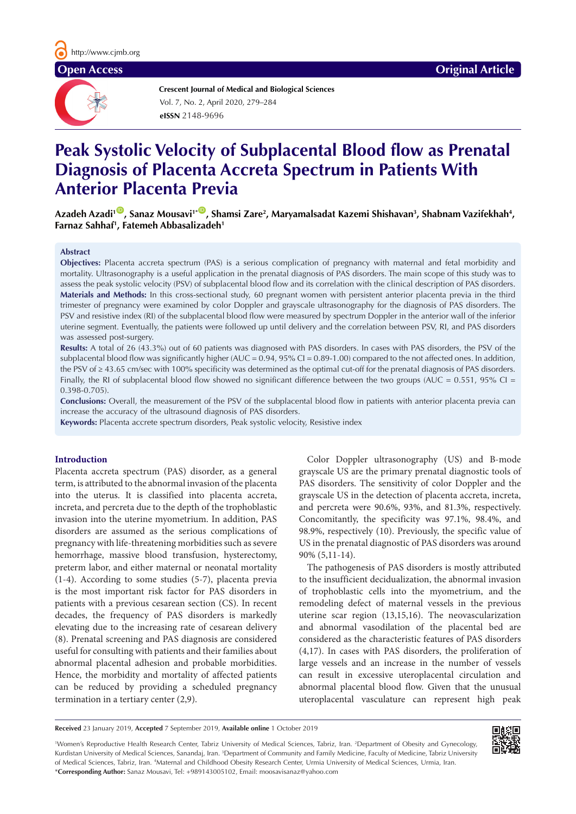

**Crescent Journal of Medical and Biological Sciences eISSN** 2148-9696 Vol. 7, No. 2, April 2020, 279–284

# **Peak Systolic Velocity of Subplacental Blood flow as Prenatal Diagnosis of Placenta Accreta Spectrum in Patients With Anterior Placenta Previa**

Azadeh Azadi<sup>10</sup>, Sanaz Mousavi<sup>1•00</sup>, Shamsi Zare<sup>2</sup>, Maryamalsadat Kazemi Shishavan<sup>3</sup>, Shabnam Vazifekhah<sup>4</sup>, **Farnaz Sahhaf1 , Fatemeh Abbasalizadeh1**

### **Abstract**

**Objectives:** Placenta accreta spectrum (PAS) is a serious complication of pregnancy with maternal and fetal morbidity and mortality. Ultrasonography is a useful application in the prenatal diagnosis of PAS disorders. The main scope of this study was to assess the peak systolic velocity (PSV) of subplacental blood flow and its correlation with the clinical description of PAS disorders. **Materials and Methods:** In this cross-sectional study, 60 pregnant women with persistent anterior placenta previa in the third trimester of pregnancy were examined by color Doppler and grayscale ultrasonography for the diagnosis of PAS disorders. The PSV and resistive index (RI) of the subplacental blood flow were measured by spectrum Doppler in the anterior wall of the inferior uterine segment. Eventually, the patients were followed up until delivery and the correlation between PSV, RI, and PAS disorders was assessed post-surgery.

**Results:** A total of 26 (43.3%) out of 60 patients was diagnosed with PAS disorders. In cases with PAS disorders, the PSV of the subplacental blood flow was significantly higher  $(AUC = 0.94, 95\% CI = 0.89-1.00)$  compared to the not affected ones. In addition, the PSV of ≥ 43.65 cm/sec with 100% specificity was determined as the optimal cut-off for the prenatal diagnosis of PAS disorders. Finally, the RI of subplacental blood flow showed no significant difference between the two groups (AUC =  $0.551$ , 95% CI = 0.398-0.705).

**Conclusions:** Overall, the measurement of the PSV of the subplacental blood flow in patients with anterior placenta previa can increase the accuracy of the ultrasound diagnosis of PAS disorders.

**Keywords:** Placenta accrete spectrum disorders, Peak systolic velocity, Resistive index

# **Introduction**

Placenta accreta spectrum (PAS) disorder, as a general term, is attributed to the abnormal invasion of the placenta into the uterus. It is classified into placenta accreta, increta, and percreta due to the depth of the trophoblastic invasion into the uterine myometrium. In addition, PAS disorders are assumed as the serious complications of pregnancy with life-threatening morbidities such as severe hemorrhage, massive blood transfusion, hysterectomy, preterm labor, and either maternal or neonatal mortality (1-4). According to some studies (5-7), placenta previa is the most important risk factor for PAS disorders in patients with a previous cesarean section (CS). In recent decades, the frequency of PAS disorders is markedly elevating due to the increasing rate of cesarean delivery (8). Prenatal screening and PAS diagnosis are considered useful for consulting with patients and their families about abnormal placental adhesion and probable morbidities. Hence, the morbidity and mortality of affected patients can be reduced by providing a scheduled pregnancy termination in a tertiary center (2,9).

Color Doppler ultrasonography (US) and B-mode grayscale US are the primary prenatal diagnostic tools of PAS disorders. The sensitivity of color Doppler and the grayscale US in the detection of placenta accreta, increta, and percreta were 90.6%, 93%, and 81.3%, respectively. Concomitantly, the specificity was 97.1%, 98.4%, and 98.9%, respectively (10). Previously, the specific value of US in the prenatal diagnostic of PAS disorders was around 90% (5,11-14).

The pathogenesis of PAS disorders is mostly attributed to the insufficient decidualization, the abnormal invasion of trophoblastic cells into the myometrium, and the remodeling defect of maternal vessels in the previous uterine scar region (13,15,16). The neovascularization and abnormal vasodilation of the placental bed are considered as the characteristic features of PAS disorders (4,17). In cases with PAS disorders, the proliferation of large vessels and an increase in the number of vessels can result in excessive uteroplacental circulation and abnormal placental blood flow. Given that the unusual uteroplacental vasculature can represent high peak

**Received** 23 January 2019, **Accepted** 7 September 2019, **Available online** 1 October 2019

1 Women's Reproductive Health Research Center, Tabriz University of Medical Sciences, Tabriz, Iran. 2 Department of Obesity and Gynecology, Kurdistan University of Medical Sciences, Sanandaj, Iran. <sup>3</sup>Department of Community and Family Medicine, Faculty of Medicine, Tabriz University of Medical Sciences, Tabriz, Iran. 4 Maternal and Childhood Obesity Research Center, Urmia University of Medical Sciences, Urmia, Iran. \***Corresponding Author:** Sanaz Mousavi, Tel: +989143005102, Email: moosavisanaz@yahoo.com

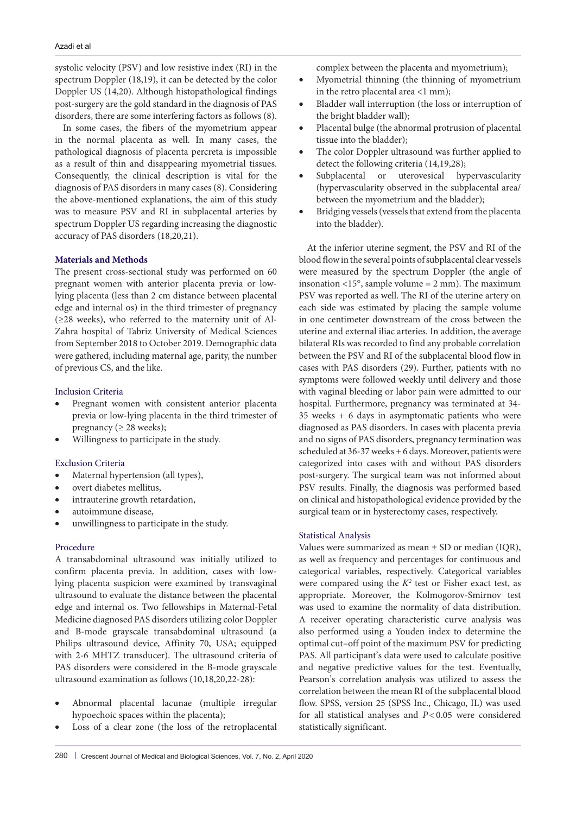systolic velocity (PSV) and low resistive index (RI) in the spectrum Doppler (18,19), it can be detected by the color Doppler US (14,20). Although histopathological findings post-surgery are the gold standard in the diagnosis of PAS disorders, there are some interfering factors as follows (8).

In some cases, the fibers of the myometrium appear in the normal placenta as well. In many cases, the pathological diagnosis of placenta percreta is impossible as a result of thin and disappearing myometrial tissues. Consequently, the clinical description is vital for the diagnosis of PAS disorders in many cases (8). Considering the above-mentioned explanations, the aim of this study was to measure PSV and RI in subplacental arteries by spectrum Doppler US regarding increasing the diagnostic accuracy of PAS disorders (18,20,21).

#### **Materials and Methods**

The present cross-sectional study was performed on 60 pregnant women with anterior placenta previa or lowlying placenta (less than 2 cm distance between placental edge and internal os) in the third trimester of pregnancy (≥28 weeks), who referred to the maternity unit of Al-Zahra hospital of Tabriz University of Medical Sciences from September 2018 to October 2019. Demographic data were gathered, including maternal age, parity, the number of previous CS, and the like.

### Inclusion Criteria

- Pregnant women with consistent anterior placenta previa or low-lying placenta in the third trimester of pregnancy ( $\geq$  28 weeks);
- • Willingness to participate in the study.

#### Exclusion Criteria

- Maternal hypertension (all types),
- overt diabetes mellitus,
- intrauterine growth retardation,
- autoimmune disease,
- unwillingness to participate in the study.

#### Procedure

A transabdominal ultrasound was initially utilized to confirm placenta previa. In addition, cases with lowlying placenta suspicion were examined by transvaginal ultrasound to evaluate the distance between the placental edge and internal os. Two fellowships in Maternal-Fetal Medicine diagnosed PAS disorders utilizing color Doppler and B-mode grayscale transabdominal ultrasound (a Philips ultrasound device, Affinity 70, USA; equipped with 2-6 MHTZ transducer). The ultrasound criteria of PAS disorders were considered in the B-mode grayscale ultrasound examination as follows (10,18,20,22-28):

- Abnormal placental lacunae (multiple irregular hypoechoic spaces within the placenta);
- Loss of a clear zone (the loss of the retroplacental

complex between the placenta and myometrium);

- Myometrial thinning (the thinning of myometrium in the retro placental area  $<1$  mm);
- Bladder wall interruption (the loss or interruption of the bright bladder wall);
- Placental bulge (the abnormal protrusion of placental tissue into the bladder);
- The color Doppler ultrasound was further applied to detect the following criteria (14,19,28);
- Subplacental or uterovesical hypervascularity (hypervascularity observed in the subplacental area/ between the myometrium and the bladder);
- Bridging vessels (vessels that extend from the placenta into the bladder).

At the inferior uterine segment, the PSV and RI of the blood flow in the several points of subplacental clear vessels were measured by the spectrum Doppler (the angle of insonation  $\langle 15^\circ$ , sample volume = 2 mm). The maximum PSV was reported as well. The RI of the uterine artery on each side was estimated by placing the sample volume in one centimeter downstream of the cross between the uterine and external iliac arteries. In addition, the average bilateral RIs was recorded to find any probable correlation between the PSV and RI of the subplacental blood flow in cases with PAS disorders (29). Further, patients with no symptoms were followed weekly until delivery and those with vaginal bleeding or labor pain were admitted to our hospital. Furthermore, pregnancy was terminated at 34- 35 weeks + 6 days in asymptomatic patients who were diagnosed as PAS disorders. In cases with placenta previa and no signs of PAS disorders, pregnancy termination was scheduled at 36-37 weeks + 6 days. Moreover, patients were categorized into cases with and without PAS disorders post-surgery. The surgical team was not informed about PSV results. Finally, the diagnosis was performed based on clinical and histopathological evidence provided by the surgical team or in hysterectomy cases, respectively.

#### Statistical Analysis

Values were summarized as mean  $\pm$  SD or median (IQR), as well as frequency and percentages for continuous and categorical variables, respectively. Categorical variables were compared using the  $K^2$  test or Fisher exact test, as appropriate. Moreover, the Kolmogorov-Smirnov test was used to examine the normality of data distribution. A receiver operating characteristic curve analysis was also performed using a Youden index to determine the optimal cut–off point of the maximum PSV for predicting PAS. All participant's data were used to calculate positive and negative predictive values for the test. Eventually, Pearson's correlation analysis was utilized to assess the correlation between the mean RI of the subplacental blood flow. SPSS, version 25 (SPSS Inc., Chicago, IL) was used for all statistical analyses and *P<*0.05 were considered statistically significant.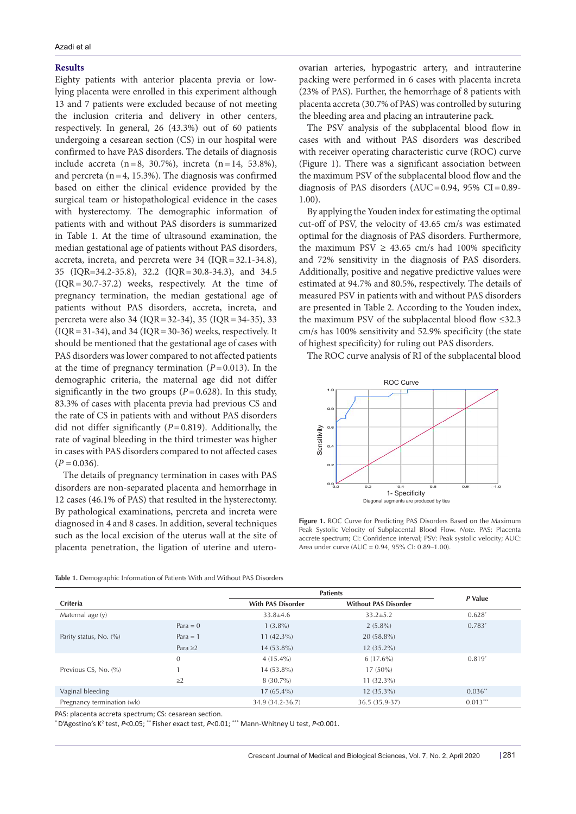### **Results**

Eighty patients with anterior placenta previa or lowlying placenta were enrolled in this experiment although 13 and 7 patients were excluded because of not meeting the inclusion criteria and delivery in other centers, respectively. In general, 26 (43.3%) out of 60 patients undergoing a cesarean section (CS) in our hospital were confirmed to have PAS disorders. The details of diagnosis include accreta (n=8, 30.7%), increta (n=14, 53.8%), and percreta  $(n=4, 15.3\%)$ . The diagnosis was confirmed based on either the clinical evidence provided by the surgical team or histopathological evidence in the cases with hysterectomy. The demographic information of patients with and without PAS disorders is summarized in Table 1. At the time of ultrasound examination, the median gestational age of patients without PAS disorders, accreta, increta, and percreta were 34 (IQR=32.1-34.8), 35 (IQR=34.2-35.8), 32.2 (IQR=30.8-34.3), and 34.5 (IQR=30.7-37.2) weeks, respectively. At the time of pregnancy termination, the median gestational age of patients without PAS disorders, accreta, increta, and percreta were also 34 (IQR=32-34), 35 (IQR=34-35), 33  $( IQR = 31-34)$ , and 34  $(IQR = 30-36)$  weeks, respectively. It should be mentioned that the gestational age of cases with PAS disorders was lower compared to not affected patients at the time of pregnancy termination  $(P=0.013)$ . In the demographic criteria, the maternal age did not differ significantly in the two groups  $(P=0.628)$ . In this study, 83.3% of cases with placenta previa had previous CS and the rate of CS in patients with and without PAS disorders did not differ significantly (*P*=0.819). Additionally, the rate of vaginal bleeding in the third trimester was higher in cases with PAS disorders compared to not affected cases  $(P = 0.036)$ .

The details of pregnancy termination in cases with PAS disorders are non-separated placenta and hemorrhage in 12 cases (46.1% of PAS) that resulted in the hysterectomy. By pathological examinations, percreta and increta were diagnosed in 4 and 8 cases. In addition, several techniques such as the local excision of the uterus wall at the site of placenta penetration, the ligation of uterine and uteroovarian arteries, hypogastric artery, and intrauterine packing were performed in 6 cases with placenta increta (23% of PAS). Further, the hemorrhage of 8 patients with placenta accreta (30.7% of PAS) was controlled by suturing the bleeding area and placing an intrauterine pack.

The PSV analysis of the subplacental blood flow in cases with and without PAS disorders was described with receiver operating characteristic curve (ROC) curve (Figure 1). There was a significant association between the maximum PSV of the subplacental blood flow and the diagnosis of PAS disorders (AUC=0.94, 95% CI=0.89-1.00).

By applying the Youden index for estimating the optimal cut-off of PSV, the velocity of 43.65 cm/s was estimated optimal for the diagnosis of PAS disorders. Furthermore, the maximum PSV  $\geq$  43.65 cm/s had 100% specificity and 72% sensitivity in the diagnosis of PAS disorders. Additionally, positive and negative predictive values were estimated at 94.7% and 80.5%, respectively. The details of measured PSV in patients with and without PAS disorders are presented in Table 2. According to the Youden index, the maximum PSV of the subplacental blood flow ≤32.3 cm/s has 100% sensitivity and 52.9% specificity (the state of highest specificity) for ruling out PAS disorders.

The ROC curve analysis of RI of the subplacental blood



**Figure 1.** ROC Curve for Predicting PAS Disorders Based on the Maximum Peak Systolic Velocity of Subplacental Blood Flow. *Note.* PAS: Placenta accrete spectrum; CI: Confidence interval; PSV: Peak systolic velocity; AUC: Area under curve (AUC = 0.94, 95% CI: 0.89–1.00).

| Table 1. Demographic Information of Patients With and Without PAS Disorders |  |  |  |
|-----------------------------------------------------------------------------|--|--|--|
|                                                                             |  |  |  |

|                            |               | <b>Patients</b>                                         |                |            |
|----------------------------|---------------|---------------------------------------------------------|----------------|------------|
| Criteria                   |               | <b>Without PAS Disorder</b><br><b>With PAS Disorder</b> |                | P Value    |
| Maternal age (y)           |               | $33.8 \pm 4.6$                                          | $33.2 \pm 5.2$ | $0.628*$   |
|                            | $Para = 0$    | $1(3.8\%)$                                              | $2(5.8\%)$     | $0.783*$   |
| Parity status, No. (%)     | Para $=$ 1    | $11(42.3\%)$                                            | $20(58.8\%)$   |            |
|                            | Para $\geq$ 2 | 14 (53.8%)                                              | $12(35.2\%)$   |            |
|                            | $\theta$      | $4(15.4\%)$                                             | $6(17.6\%)$    | $0.819*$   |
| Previous CS, No. (%)       |               | 14 (53.8%)                                              | $17(50\%)$     |            |
|                            | $\geq$ 2      | $8(30.7\%)$                                             | $11(32.3\%)$   |            |
| Vaginal bleeding           |               | $17(65.4\%)$                                            | $12(35.3\%)$   | $0.036**$  |
| Pregnancy termination (wk) |               | 34.9 (34.2-36.7)                                        | 36.5 (35.9-37) | $0.013***$ |

PAS: placenta accreta spectrum; CS: cesarean section.

\* D'Agostino's K2 test, *P*<0.05; \*\* Fisher exact test, *P*<0.01; \*\*\* Mann-Whitney U test, *P*<0.001.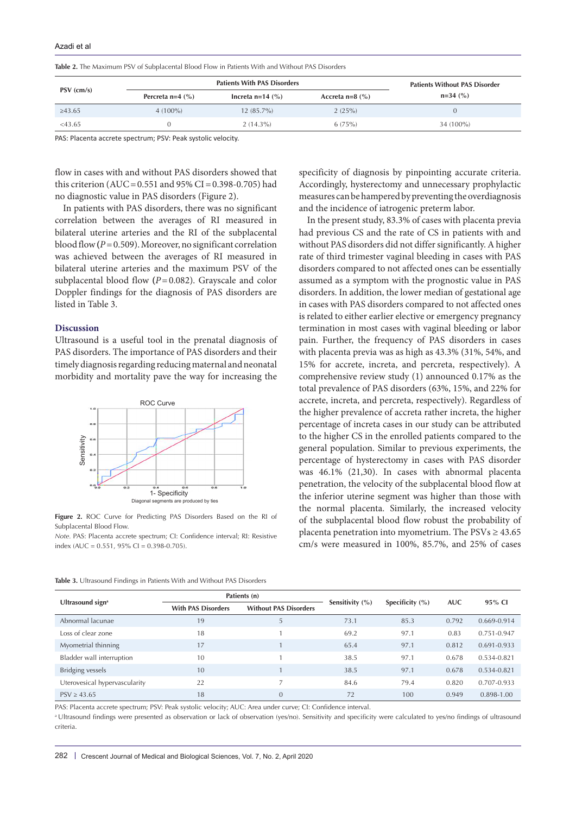| <b>Table 2.</b> The Maximum PSV of Subplacental Blood Flow in Patients With and Without PAS Disorders |  |
|-------------------------------------------------------------------------------------------------------|--|
|-------------------------------------------------------------------------------------------------------|--|

|              |                    | <b>Patients Without PAS Disorder</b> |                   |            |
|--------------|--------------------|--------------------------------------|-------------------|------------|
| PSV (cm/s)   | Percreta $n=4$ (%) | Increta $n=14$ (%)                   | Accreta $n=8$ (%) | $n=34$ (%) |
| $\geq 43.65$ | $4(100\%)$         | $12(85.7\%)$                         | 2(25%)            |            |
| $<$ 43.65    |                    | $2(14.3\%)$                          | 6(75%)            | 34 (100%)  |

PAS: Placenta accrete spectrum; PSV: Peak systolic velocity.

flow in cases with and without PAS disorders showed that this criterion (AUC =  $0.551$  and  $95\%$  CI =  $0.398-0.705$ ) had no diagnostic value in PAS disorders (Figure 2).

In patients with PAS disorders, there was no significant correlation between the averages of RI measured in bilateral uterine arteries and the RI of the subplacental blood flow **(***P* = 0.509). Moreover, no significant correlation was achieved between the averages of RI measured in bilateral uterine arteries and the maximum PSV of the subplacental blood flow **(***P*=0.082). Grayscale and color Doppler findings for the diagnosis of PAS disorders are listed in Table 3.

#### **Discussion**

Ultrasound is a useful tool in the prenatal diagnosis of PAS disorders. The importance of PAS disorders and their timely diagnosis regarding reducing maternal and neonatal morbidity and mortality pave the way for increasing the



**Figure 2.** ROC Curve for Predicting PAS Disorders Based on the RI of Subplacental Blood Flow.

*Note.* PAS: Placenta accrete spectrum; CI: Confidence interval; RI: Resistive index (AUC =  $0.551$ ,  $95\%$  CI =  $0.398 - 0.705$ ).

specificity of diagnosis by pinpointing accurate criteria. Accordingly, hysterectomy and unnecessary prophylactic measures can be hampered by preventing the overdiagnosis and the incidence of iatrogenic preterm labor.

In the present study, 83.3% of cases with placenta previa had previous CS and the rate of CS in patients with and without PAS disorders did not differ significantly. A higher rate of third trimester vaginal bleeding in cases with PAS disorders compared to not affected ones can be essentially assumed as a symptom with the prognostic value in PAS disorders. In addition, the lower median of gestational age in cases with PAS disorders compared to not affected ones is related to either earlier elective or emergency pregnancy termination in most cases with vaginal bleeding or labor pain. Further, the frequency of PAS disorders in cases with placenta previa was as high as 43.3% (31%, 54%, and 15% for accrete, increta, and percreta, respectively). A comprehensive review study (1) announced 0.17% as the total prevalence of PAS disorders (63%, 15%, and 22% for accrete, increta, and percreta, respectively). Regardless of the higher prevalence of accreta rather increta, the higher percentage of increta cases in our study can be attributed to the higher CS in the enrolled patients compared to the general population. Similar to previous experiments, the percentage of hysterectomy in cases with PAS disorder was 46.1% (21,30). In cases with abnormal placenta penetration, the velocity of the subplacental blood flow at the inferior uterine segment was higher than those with the normal placenta. Similarly, the increased velocity of the subplacental blood flow robust the probability of placenta penetration into myometrium. The  $PSVs \geq 43.65$ cm/s were measured in 100%, 85.7%, and 25% of cases

| Table 3. Ultrasound Findings in Patients With and Without PAS Disorders |  |  |  |  |  |
|-------------------------------------------------------------------------|--|--|--|--|--|
|                                                                         |  |  |  |  |  |

|                               |                           | Patients (n)                 |                     |                     | <b>AUC</b> |                 |
|-------------------------------|---------------------------|------------------------------|---------------------|---------------------|------------|-----------------|
| Ultrasound sign <sup>a</sup>  | <b>With PAS Disorders</b> | <b>Without PAS Disorders</b> | Sensitivity $(\% )$ | Specificity $(\% )$ |            | 95% CI          |
| Abnormal lacunae              | 19                        | 5                            | 73.1                | 85.3                | 0.792      | 0.669-0.914     |
| Loss of clear zone            | 18                        |                              | 69.2                | 97.1                | 0.83       | 0.751-0.947     |
| Myometrial thinning           | 17                        |                              | 65.4                | 97.1                | 0.812      | $0.691 - 0.933$ |
| Bladder wall interruption     | 10                        |                              | 38.5                | 97.1                | 0.678      | $0.534 - 0.821$ |
| Bridging vessels              | 10                        |                              | 38.5                | 97.1                | 0.678      | 0.534-0.821     |
| Uterovesical hypervascularity | 22                        | 7                            | 84.6                | 79.4                | 0.820      | 0.707-0.933     |
| PSV > 43.65                   | 18                        | $\overline{0}$               | 72                  | 100                 | 0.949      | 0.898-1.00      |

PAS: Placenta accrete spectrum; PSV: Peak systolic velocity; AUC: Area under curve; CI: Confidence interval.

<sup>a</sup> Ultrasound findings were presented as observation or lack of observation (ves/no). Sensitivity and specificity were calculated to yes/no findings of ultrasound criteria.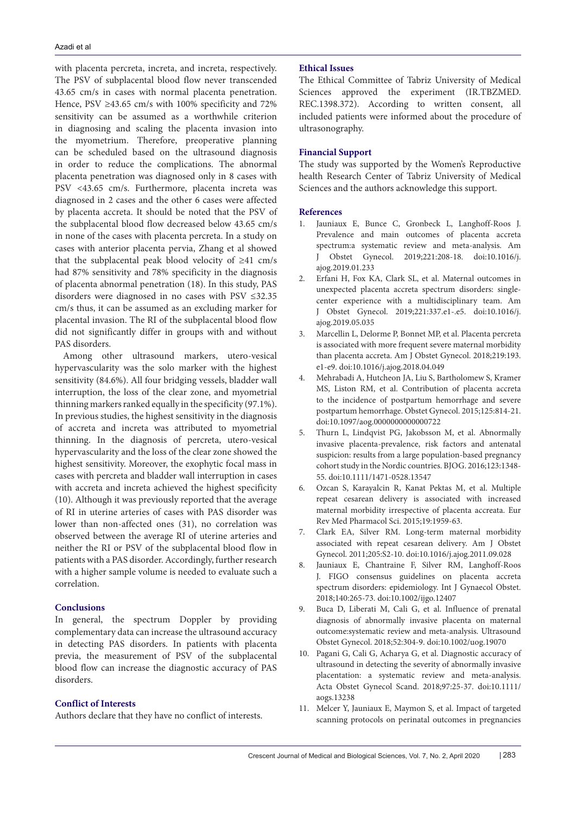with placenta percreta, increta, and increta, respectively. The PSV of subplacental blood flow never transcended 43.65 cm/s in cases with normal placenta penetration. Hence, PSV  $\geq$ 43.65 cm/s with 100% specificity and 72% sensitivity can be assumed as a worthwhile criterion in diagnosing and scaling the placenta invasion into the myometrium. Therefore, preoperative planning can be scheduled based on the ultrasound diagnosis in order to reduce the complications. The abnormal placenta penetration was diagnosed only in 8 cases with PSV <43.65 cm/s. Furthermore, placenta increta was diagnosed in 2 cases and the other 6 cases were affected by placenta accreta. It should be noted that the PSV of the subplacental blood flow decreased below 43.65 cm/s in none of the cases with placenta percreta. In a study on cases with anterior placenta pervia, Zhang et al showed that the subplacental peak blood velocity of ≥41 cm/s had 87% sensitivity and 78% specificity in the diagnosis of placenta abnormal penetration (18). In this study, PAS disorders were diagnosed in no cases with PSV ≤32.35 cm/s thus, it can be assumed as an excluding marker for placental invasion. The RI of the subplacental blood flow did not significantly differ in groups with and without PAS disorders.

Among other ultrasound markers, utero-vesical hypervascularity was the solo marker with the highest sensitivity (84.6%). All four bridging vessels, bladder wall interruption, the loss of the clear zone, and myometrial thinning markers ranked equally in the specificity (97.1%). In previous studies, the highest sensitivity in the diagnosis of accreta and increta was attributed to myometrial thinning. In the diagnosis of percreta, utero-vesical hypervascularity and the loss of the clear zone showed the highest sensitivity. Moreover, the exophytic focal mass in cases with percreta and bladder wall interruption in cases with accreta and increta achieved the highest specificity (10). Although it was previously reported that the average of RI in uterine arteries of cases with PAS disorder was lower than non-affected ones (31), no correlation was observed between the average RI of uterine arteries and neither the RI or PSV of the subplacental blood flow in patients with a PAS disorder. Accordingly, further research with a higher sample volume is needed to evaluate such a correlation.

# **Conclusions**

In general, the spectrum Doppler by providing complementary data can increase the ultrasound accuracy in detecting PAS disorders. In patients with placenta previa, the measurement of PSV of the subplacental blood flow can increase the diagnostic accuracy of PAS disorders.

# **Conflict of Interests**

Authors declare that they have no conflict of interests.

### **Ethical Issues**

The Ethical Committee of Tabriz University of Medical Sciences approved the experiment (IR.TBZMED. REC.1398.372). According to written consent, all included patients were informed about the procedure of ultrasonography.

#### **Financial Support**

The study was supported by the Women's Reproductive health Research Center of Tabriz University of Medical Sciences and the authors acknowledge this support.

#### **References**

- 1. Jauniaux E, Bunce C, Gronbeck L, Langhoff-Roos J. Prevalence and main outcomes of placenta accreta spectrum:a systematic review and meta-analysis. Am J Obstet Gynecol. 2019;221:208-18. doi:10.1016/j. ajog.2019.01.233
- 2. Erfani H, Fox KA, Clark SL, et al. Maternal outcomes in unexpected placenta accreta spectrum disorders: singlecenter experience with a multidisciplinary team. Am J Obstet Gynecol. 2019;221:337.e1-.e5. doi:10.1016/j. ajog.2019.05.035
- 3. Marcellin L, Delorme P, Bonnet MP, et al. Placenta percreta is associated with more frequent severe maternal morbidity than placenta accreta. Am J Obstet Gynecol. 2018;219:193. e1-e9. doi:10.1016/j.ajog.2018.04.049
- 4. Mehrabadi A, Hutcheon JA, Liu S, Bartholomew S, Kramer MS, Liston RM, et al. Contribution of placenta accreta to the incidence of postpartum hemorrhage and severe postpartum hemorrhage. Obstet Gynecol. 2015;125:814-21. doi:10.1097/aog.0000000000000722
- 5. Thurn L, Lindqvist PG, Jakobsson M, et al. Abnormally invasive placenta-prevalence, risk factors and antenatal suspicion: results from a large population-based pregnancy cohort study in the Nordic countries. BJOG. 2016;123:1348- 55. doi:10.1111/1471-0528.13547
- 6. Ozcan S, Karayalcin R, Kanat Pektas M, et al. Multiple repeat cesarean delivery is associated with increased maternal morbidity irrespective of placenta accreata. Eur Rev Med Pharmacol Sci. 2015;19:1959-63.
- 7. Clark EA, Silver RM. Long-term maternal morbidity associated with repeat cesarean delivery. Am J Obstet Gynecol. 2011;205:S2-10. doi:10.1016/j.ajog.2011.09.028
- 8. Jauniaux E, Chantraine F, Silver RM, Langhoff-Roos J. FIGO consensus guidelines on placenta accreta spectrum disorders: epidemiology. Int J Gynaecol Obstet. 2018;140:265-73. doi:10.1002/ijgo.12407
- 9. Buca D, Liberati M, Cali G, et al. Influence of prenatal diagnosis of abnormally invasive placenta on maternal outcome:systematic review and meta-analysis. Ultrasound Obstet Gynecol. 2018;52:304-9. doi:10.1002/uog.19070
- 10. Pagani G, Cali G, Acharya G, et al. Diagnostic accuracy of ultrasound in detecting the severity of abnormally invasive placentation: a systematic review and meta-analysis. Acta Obstet Gynecol Scand. 2018;97:25-37. doi:10.1111/ aogs.13238
- 11. Melcer Y, Jauniaux E, Maymon S, et al. Impact of targeted scanning protocols on perinatal outcomes in pregnancies